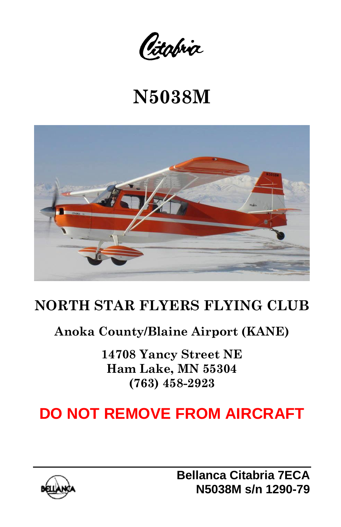Citabria

# **N5038M**



# **NORTH STAR FLYERS FLYING CLUB**

## **Anoka County/Blaine Airport (KANE)**

**14708 Yancy Street NE Ham Lake, MN 55304 (763) 458-2923**

# **DO NOT REMOVE FROM AIRCRAFT**

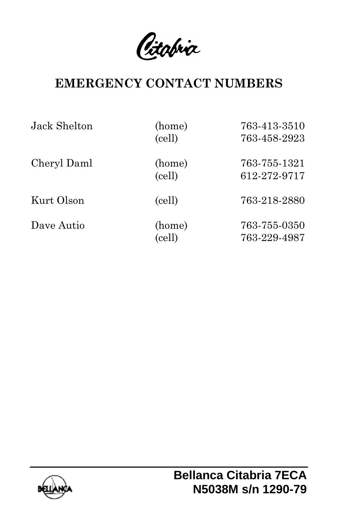Citabria

## **EMERGENCY CONTACT NUMBERS**

| Jack Shelton | (home)<br>(cell) | 763-413-3510<br>763-458-2923 |
|--------------|------------------|------------------------------|
| Cheryl Daml  | (home)<br>(cell) | 763-755-1321<br>612-272-9717 |
| Kurt Olson   | (cell)           | 763-218-2880                 |
| Dave Autio   | (home)<br>(cell) | 763-755-0350<br>763-229-4987 |

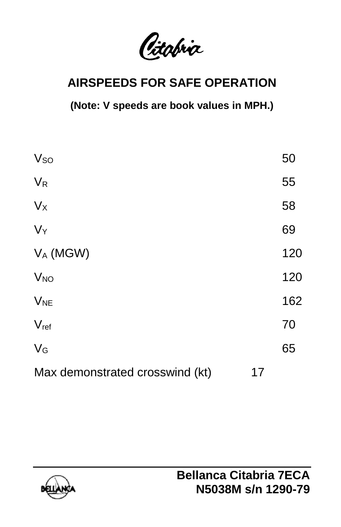Citabria

# **AIRSPEEDS FOR SAFE OPERATION**

**(Note: V speeds are book values in MPH.)**

| <b>V<sub>so</sub></b>           |    | 50  |
|---------------------------------|----|-----|
| $V_R$                           |    | 55  |
| $V_{X}$                         |    | 58  |
| $V_Y$                           |    | 69  |
| $V_A$ (MGW)                     |    | 120 |
| <b>V<sub>NO</sub></b>           |    | 120 |
| $V_{NE}$                        |    | 162 |
| $V_{ref}$                       |    | 70  |
| $V_G$                           |    | 65  |
| Max demonstrated crosswind (kt) | 17 |     |

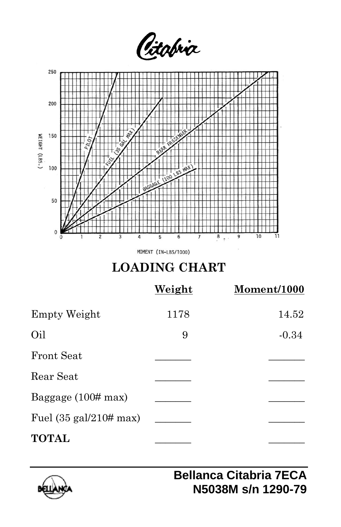

|                                            | Weight | Moment/1000 |
|--------------------------------------------|--------|-------------|
| Empty Weight                               | 1178   | 14.52       |
| Oil                                        | 9      | $-0.34$     |
| <b>Front Seat</b>                          |        |             |
| Rear Seat                                  |        |             |
| Baggage $(100# \text{max})$                |        |             |
| Fuel $(35 \text{ gal}/210 \# \text{ max})$ |        |             |
| <b>TOTAL</b>                               |        |             |

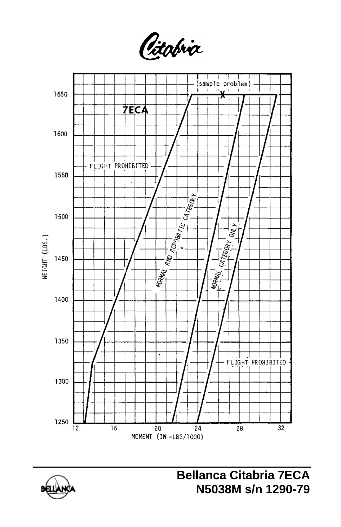Citabria

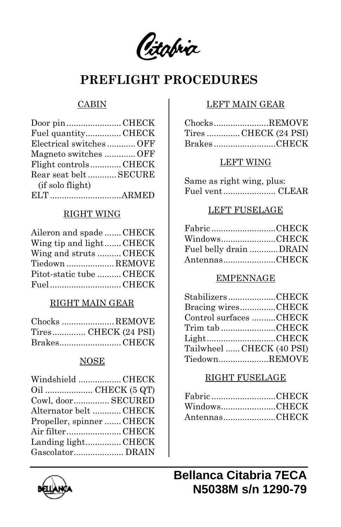Citabria

### **PREFLIGHT PROCEDURES**

#### CABIN

| Door pin CHECK         |  |
|------------------------|--|
| Fuel quantityCHECK     |  |
| Electrical switchesOFF |  |
| Magneto switches OFF   |  |
| Flight controlsCHECK   |  |
| Rear seat belt  SECURE |  |
| (if solo flight)       |  |
|                        |  |

#### RIGHT WING

| Aileron and spade  CHECK |  |
|--------------------------|--|
| Wing tip and light CHECK |  |
| Wing and struts CHECK    |  |
| Tiedown  REMOVE          |  |
| Pitot-static tube  CHECK |  |
| FuelCHECK                |  |

#### RIGHT MAIN GEAR

| Chocks REMOVE        |
|----------------------|
| Tires CHECK (24 PSI) |
| BrakesCHECK          |

#### NOSE

| Windshield CHECK          |
|---------------------------|
|                           |
| Cowl, door SECURED        |
| Alternator belt CHECK     |
| Propeller, spinner  CHECK |
| Air filterCHECK           |
| Landing lightCHECK        |
|                           |
|                           |

#### LEFT MAIN GEAR

| ChocksREMOVE         |
|----------------------|
| Tires CHECK (24 PSI) |
| BrakesCHECK          |

#### LEFT WING

Same as right wing, plus: Fuel vent...................... CLEAR

#### LEFT FUSELAGE

| Fabric CHECK           |  |
|------------------------|--|
| WindowsCHECK           |  |
| Fuel belly drain DRAIN |  |
| AntennasCHECK          |  |

#### EMPENNAGE

| StabilizersCHECK          |  |
|---------------------------|--|
| Bracing wiresCHECK        |  |
| Control surfaces CHECK    |  |
| Trim tab CHECK            |  |
| LightCHECK                |  |
| Tailwheel  CHECK (40 PSI) |  |
| TiedownREMOVE             |  |

#### RIGHT FUSELAGE

| Fabric CHECK  |  |
|---------------|--|
| WindowsCHECK  |  |
| AntennasCHECK |  |

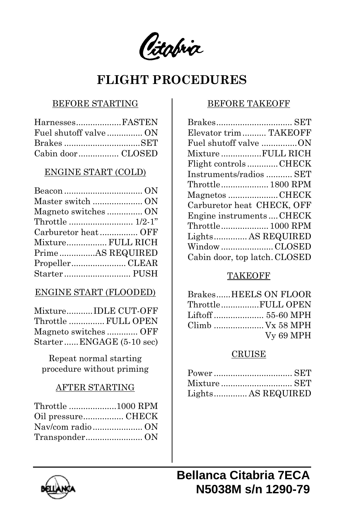Citabria

### **FLIGHT PROCEDURES**

#### BEFORE STARTING

| HarnessesFASTEN |  |
|-----------------|--|
|                 |  |
|                 |  |
|                 |  |

#### ENGINE START (COLD)

| Mixture FULL RICH |
|-------------------|
| PrimeAS REQUIRED  |
|                   |
|                   |
|                   |

#### ENGINE START (FLOODED)

| MixtureIDLE CUT-OFF      |  |
|--------------------------|--|
| Throttle  FULL OPEN      |  |
| Magneto switches OFF     |  |
| StarterENGAGE (5-10 sec) |  |

Repeat normal starting procedure without priming

#### AFTER STARTING

| Throttle 1000 RPM |  |
|-------------------|--|
| Oil pressureCHECK |  |
|                   |  |
|                   |  |

#### BEFORE TAKEOFF

| Elevator trim TAKEOFF         |  |
|-------------------------------|--|
| Fuel shutoff valve ON         |  |
| Mixture FULL RICH             |  |
| Flight controlsCHECK          |  |
| Instruments/radios  SET       |  |
| Throttle 1800 RPM             |  |
| Magnetos CHECK                |  |
| Carburetor heat CHECK, OFF    |  |
| Engine instrumentsCHECK       |  |
| Throttle 1000 RPM             |  |
| Lights AS REQUIRED            |  |
| Window CLOSED                 |  |
| Cabin door, top latch. CLOSED |  |

#### **TAKEOFF**

| BrakesHEELS ON FLOOR |
|----------------------|
| ThrottleFULL OPEN    |
|                      |
| Climb  Vx 58 MPH     |
| Vy 69 MPH            |

#### CRUISE

| Lights AS REQUIRED |
|--------------------|

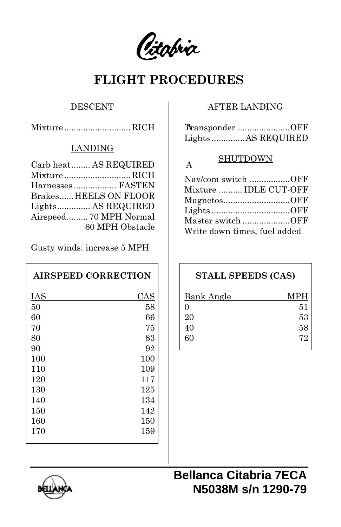Citabria

## **FLIGHT PROCEDURES**

#### **DESCENT**

Mixture ............................RICH A

#### LANDING

| Carb heat AS REQUIRED  | A  |
|------------------------|----|
| MixtureRICH            | N  |
| Harnesses FASTEN       | M  |
| Brakes HEELS ON FLOOR  | M  |
| Lights AS REQUIRED     | Li |
| Airspeed 70 MPH Normal | M  |
| 60 MPH Obstacle        | W  |
|                        |    |

Gusty winds: increase 5 MPH

### **AIRSPEED CORRECTION**

| IAS | CAS |
|-----|-----|
| 50  | 58  |
| 60  | 66  |
| 70  | 75  |
| 80  | 83  |
| 90  | 92  |
| 100 | 100 |
| 110 | 109 |
| 120 | 117 |
| 130 | 125 |
| 140 | 134 |
| 150 | 142 |
| 160 | 150 |
| 170 | 159 |
|     |     |

#### AFTER LANDING

| Transponder OFF   |
|-------------------|
| LightsAS REQUIRED |

#### SHUTDOWN

| Nav/com switch OFF           |  |
|------------------------------|--|
| Mixture  IDLE CUT-OFF        |  |
| MagnetosOFF                  |  |
| LightsOFF                    |  |
| Master switch OFF            |  |
| Write down times, fuel added |  |

### **STALL SPEEDS (CAS)**

| <b>Bank Angle</b> | <b>MPH</b> |
|-------------------|------------|
| 0                 | 51         |
| 20                | 53         |
| 40                | 58         |
| 60                | 72         |
|                   |            |



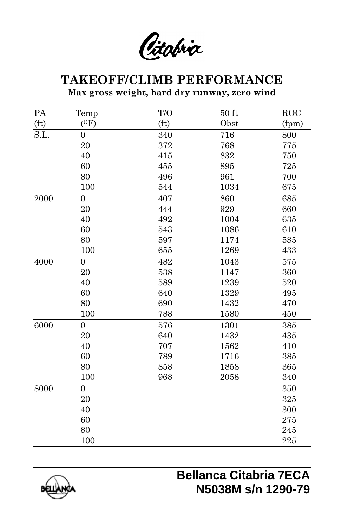Citabria

# **TAKEOFF/CLIMB PERFORMANCE**

**Max gross weight, hard dry runway, zero wind**

| PA                | Temp             | T/O               | $50$ ft | ROC   |
|-------------------|------------------|-------------------|---------|-------|
| (f <sub>t</sub> ) | (0F)             | (f <sub>t</sub> ) | Obst    | (fpm) |
| S.L.              | $\boldsymbol{0}$ | 340               | 716     | 800   |
|                   | 20               | $372\,$           | 768     | 775   |
|                   | 40               | 415               | 832     | 750   |
|                   | 60               | 455               | 895     | 725   |
|                   | 80               | 496               | 961     | 700   |
|                   | 100              | 544               | 1034    | 675   |
| $\,2000\,$        | $\boldsymbol{0}$ | 407               | 860     | 685   |
|                   | 20               | 444               | 929     | 660   |
|                   | 40               | 492               | 1004    | 635   |
|                   | 60               | 543               | 1086    | 610   |
|                   | 80               | 597               | 1174    | 585   |
|                   | 100              | 655               | 1269    | 433   |
| 4000              | $\overline{0}$   | 482               | 1043    | 575   |
|                   | 20               | 538               | 1147    | 360   |
|                   | 40               | 589               | 1239    | 520   |
|                   | 60               | 640               | 1329    | 495   |
|                   | 80               | 690               | 1432    | 470   |
|                   | 100              | 788               | 1580    | 450   |
| 6000              | $\overline{0}$   | 576               | 1301    | 385   |
|                   | 20               | 640               | 1432    | 435   |
|                   | 40               | 707               | 1562    | 410   |
|                   | 60               | 789               | 1716    | 385   |
|                   | 80               | 858               | 1858    | 365   |
|                   | 100              | 968               | 2058    | 340   |
| 8000              | $\overline{0}$   |                   |         | 350   |
|                   | 20               |                   |         | 325   |
|                   | 40               |                   |         | 300   |
|                   | 60               |                   |         | 275   |
|                   | 80               |                   |         | 245   |
|                   | 100              |                   |         | 225   |

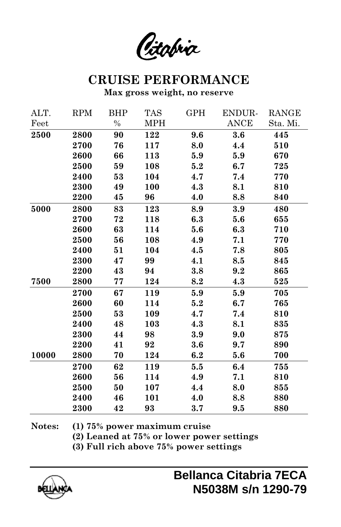Citabria

### **CRUISE PERFORMANCE**

**Max gross weight, no reserve**

| ALT.  | <b>RPM</b> | BHP           | <b>TAS</b> | GPH | ENDUR-      | RANGE    |
|-------|------------|---------------|------------|-----|-------------|----------|
| Feet  |            | $\frac{0}{0}$ | <b>MPH</b> |     | <b>ANCE</b> | Sta. Mi. |
| 2500  | 2800       | 90            | 122        | 9.6 | 3.6         | 445      |
|       | 2700       | 76            | 117        | 8.0 | 4.4         | 510      |
|       | 2600       | 66            | 113        | 5.9 | 5.9         | 670      |
|       | 2500       | 59            | 108        | 5.2 | 6.7         | 725      |
|       | 2400       | 53            | 104        | 4.7 | 7.4         | 770      |
|       | 2300       | 49            | 100        | 4.3 | 8.1         | 810      |
|       | 2200       | 45            | 96         | 4.0 | 8.8         | 840      |
| 5000  | 2800       | 83            | 123        | 8.9 | 3.9         | 480      |
|       | 2700       | 72            | 118        | 6.3 | 5.6         | 655      |
|       | 2600       | 63            | 114        | 5.6 | 6.3         | 710      |
|       | 2500       | 56            | 108        | 4.9 | 7.1         | 770      |
|       | 2400       | 51            | 104        | 4.5 | 7.8         | 805      |
|       | 2300       | 47            | 99         | 4.1 | 8.5         | 845      |
|       | 2200       | 43            | 94         | 3.8 | 9.2         | 865      |
| 7500  | 2800       | 77            | 124        | 8.2 | 4.3         | 525      |
|       | 2700       | 67            | 119        | 5.9 | 5.9         | 705      |
|       | 2600       | 60            | 114        | 5.2 | 6.7         | 765      |
|       | 2500       | 53            | 109        | 4.7 | 7.4         | 810      |
|       | 2400       | 48            | 103        | 4.3 | 8.1         | 835      |
|       | 2300       | 44            | 98         | 3.9 | 9.0         | 875      |
|       | 2200       | 41            | 92         | 3.6 | 9.7         | 890      |
| 10000 | 2800       | 70            | 124        | 6.2 | 5.6         | 700      |
|       | 2700       | 62            | 119        | 5.5 | 6.4         | 755      |
|       | 2600       | 56            | 114        | 4.9 | 7.1         | 810      |
|       | 2500       | 50            | 107        | 4.4 | 8.0         | 855      |
|       | 2400       | 46            | 101        | 4.0 | 8.8         | 880      |
|       | 2300       | 42            | 93         | 3.7 | 9.5         | 880      |

**Notes: (1) 75% power maximum cruise**

**(2) Leaned at 75% or lower power settings**

**(3) Full rich above 75% power settings**

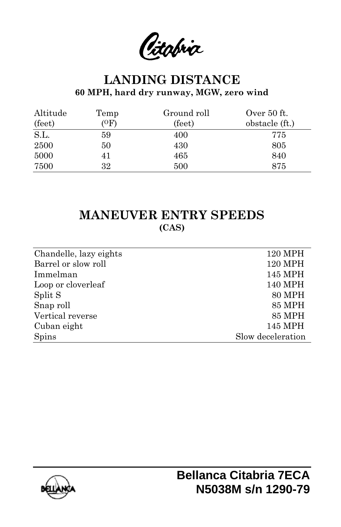Citabria

### **LANDING DISTANCE 60 MPH, hard dry runway, MGW, zero wind**

| Altitude | Temp | Ground roll | Over 50 ft.    |
|----------|------|-------------|----------------|
| (feet)   | (0F) | (feet)      | obstacle (ft.) |
| S.L.     | 59   | 400         | 775            |
| 2500     | 50   | 430         | 805            |
| 5000     | 41   | 465         | 840            |
| 7500     | 32   | 500         | 875            |

### **MANEUVER ENTRY SPEEDS (CAS)**

| Chandelle, lazy eights | 120 MPH           |
|------------------------|-------------------|
| Barrel or slow roll    | <b>120 MPH</b>    |
| Immelman               | 145 MPH           |
| Loop or cloverleaf     | 140 MPH           |
| Split S                | <b>80 MPH</b>     |
| Snap roll              | <b>85 MPH</b>     |
| Vertical reverse       | <b>85 MPH</b>     |
| Cuban eight            | 145 MPH           |
| <b>Spins</b>           | Slow deceleration |
|                        |                   |

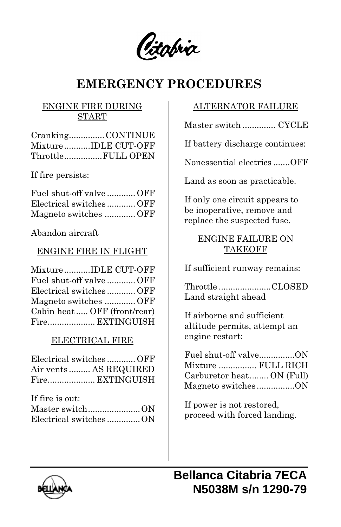(itabria

# **EMERGENCY PROCEDURES**

#### ENGINE FIRE DURING START

| CrankingCONTINUE     |
|----------------------|
| Mixture IDLE CUT-OFF |
| ThrottleFULL OPEN    |

If fire persists:

| Fuel shut-off valve  OFF |  |
|--------------------------|--|
| Electrical switchesOFF   |  |
| Magneto switches OFF     |  |

Abandon aircraft

#### ENGINE FIRE IN FLIGHT

|  | MixtureIDLE CUT-OFF         |
|--|-----------------------------|
|  | Fuel shut-off valve  OFF    |
|  | Electrical switchesOFF      |
|  | Magneto switches OFF        |
|  | Cabin heat OFF (front/rear) |
|  | Fire EXTINGUISH             |

#### ELECTRICAL FIRE

| Electrical switchesOFF |  |
|------------------------|--|
| Air vents AS REQUIRED  |  |
| Fire EXTINGUISH        |  |

| If fire is out:       |  |
|-----------------------|--|
|                       |  |
| Electrical switchesON |  |

#### ALTERNATOR FAILURE

Master switch .............. CYCLE

If battery discharge continues:

Nonessential electrics .......OFF

Land as soon as practicable.

If only one circuit appears to be inoperative, remove and replace the suspected fuse.

#### ENGINE FAILURE ON TAKEOFF

If sufficient runway remains:

Throttle ......................CLOSED Land straight ahead

If airborne and sufficient altitude permits, attempt an engine restart:

| Fuel shut-off valveON     |  |
|---------------------------|--|
| Mixture  FULL RICH        |  |
| Carburetor heat ON (Full) |  |
| Magneto switchesON        |  |

If power is not restored, proceed with forced landing.